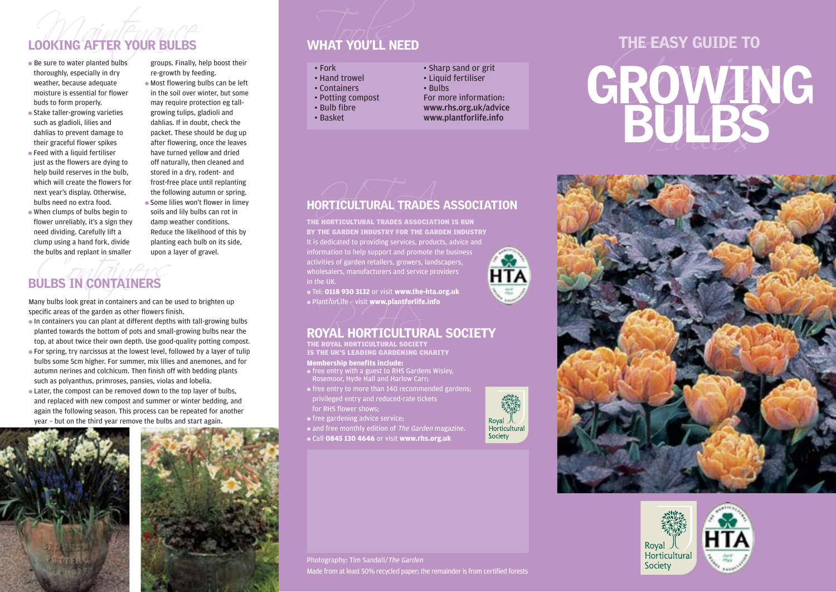### NOOKING AFTER YOUR BULBS<br>
Se sure to water planted bulbs<br>
Se sure to water planted bulbs<br>
Be sure to water planted bulbs<br>
Be sure to water planted bulbs<br>
Be sure to water planted bulbs LOOKING AFTER YOUR BULBS WHAT YOU'LL NEED

- thoroughly, especially in dry weather, because adequate moisture is essential for flower buds to form properly.
- Stake taller-growing varieties such as gladioli, lilies and dahlias to prevent damage to their graceful flower spikes
- Feed with a liquid fertiliser just as the flowers are dying to help build reserves in the bulb, which will create the flowers for next year's display. Otherwise, bulbs need no extra food.
- When clumps of bulbs begin to flower unreliably, it's a sign they need dividing. Carefully lift a clump using a hand fork, divide the bulbs and replant in smaller

groups. Finally, help boost their re-growth by feeding. ● Most flowering bulbs can be left in the soil over winter, but some may require protection eg tallgrowing tulips, gladioli and dahlias. If in doubt, check the packet. These should be dug up after flowering, once the leaves have turned yellow and dried off naturally, then cleaned and stored in a dry, rodent- and frost-free place until replanting the following autumn or spring. ● Some lilies won't flower in limey soils and lily bulbs can rot in damp weather conditions. Reduce the likelihood of this by planting each bulb on its side, upon a layer of gravel.

### The bulbs and replant in smaller and the upon a<br> **CONTAINERS**<br>
IN CONTAINERS BULBS IN CONTAINERS

Many bulbs look great in containers and can be used to brighten up specific areas of the garden as other flowers finish.

- In containers you can plant at different depths with tall-growing bulbs planted towards the bottom of pots and small-growing bulbs near the top, at about twice their own depth. Use good-quality potting compost.
- For spring, try narcissus at the lowest level, followed by a layer of tulip bulbs some 5cm higher. For summer, mix lilies and anemones, and for autumn nerines and colchicum. Then finish off with bedding plants such as polyanthus, primroses, pansies, violas and lobelia.
- Later, the compost can be removed down to the top layer of bulbs, and replaced with new compost and summer or winter bedding, and again the following season. This process can be repeated for another year – but on the third year remove the bulbs and start again.



- 
- 
- 
- 
- 
- 
- 



### THE HORTICULTURAL TRADES ASSOCIATION IS RUN BY THE GARDEN INDUSTRY FOR THE GARDEN INDUSTRY

It is dedicated to providing services, products, advice and information to help support and promote the business activities of garden retailers, growers, landscapers, wholesalers, manufacturers and service providers in the UK.

● Tel: **0118 930 3132** or visit **www.the-hta.org.uk** ● PlantforLife – visit **www.plantforlife.info**

## $\bullet$  Plant*for*Life – visit www.plantforlife.info<br>ROYAL HORTICULTURAL SOCIETY

THE ROYAL HORTICULTURAL SOCIETY<br>IS THE UK'S LEADING GARDENING CHARITY

### **Membership benefits include:**

- free entry with a guest to RHS Gardens Wisley, Rosemoor, Hyde Hall and Harlow Carr;
- $\bullet$  free entry to more than 140 recommended gardens; privileged entry and reduced-rate tickets for RHS flower shows;
- free gardening advice service;

• and free monthly edition of The Garden magazine.

● Call **0845 130 4646** or visit **www.rhs.org.uk**



# VHAT YOU'LL NEED<br>
THE EASY GUIDE TO<br>
THE EASY GUIDE TO<br>
THE EASY GUIDE TO<br>
THE EASY GUIDE TO<br>
THE EASY GUIDE TO<br>
THE EASY GUIDE TO<br>
THE EASY GUIDE TO<br>
THE EASY GUIDE TO<br>
THE EASY GUIDE TO<br>
THE EASY GUIDE TO<br>
CONTRACT TO TH





### Photography: Tim Sandall/The Garden Made from at least 50% recycled paper; the remainder is from certified forests

Royal 人<br>Horticultural